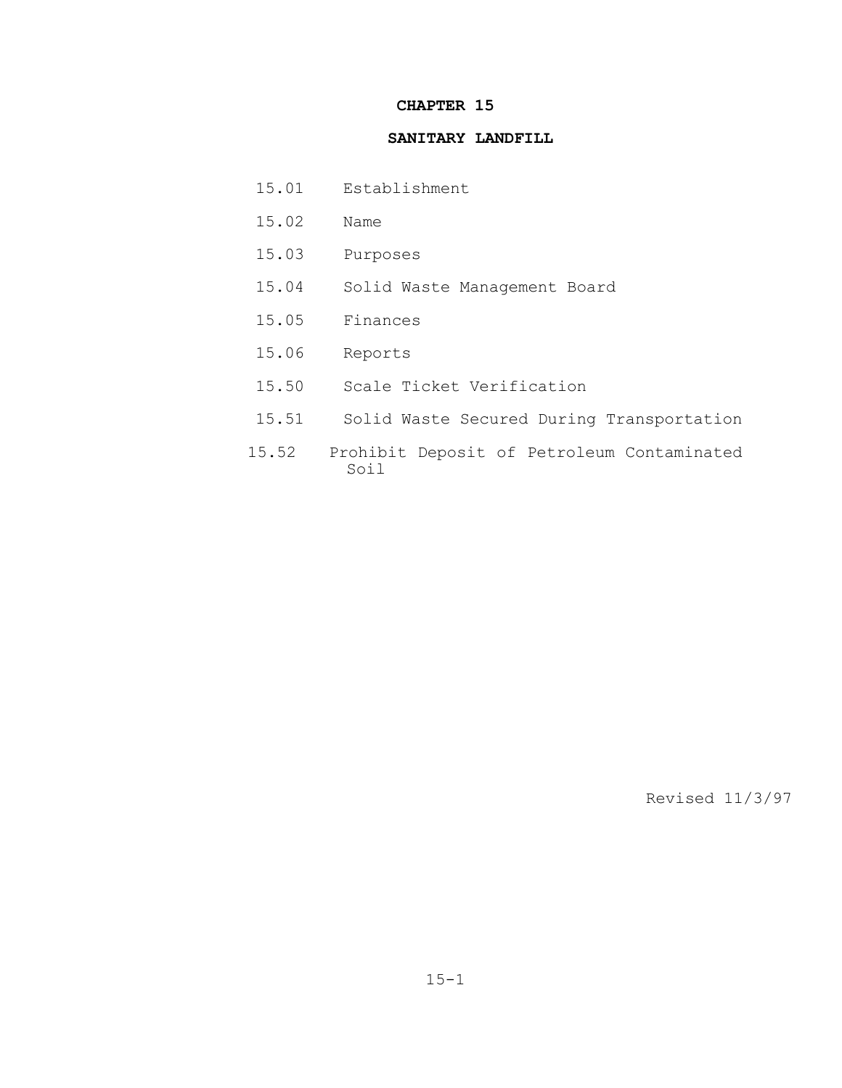## **CHAPTER 15**

### **SANITARY LANDFILL**

- 15.01 Establishment
- 15.02 Name
- 15.03 Purposes
- 15.04 Solid Waste Management Board
- 15.05 Finances
- 15.06 Reports
- 15.50 Scale Ticket Verification
- 15.51 Solid Waste Secured During Transportation
- 15.52 Prohibit Deposit of Petroleum Contaminated Soil

Revised 11/3/97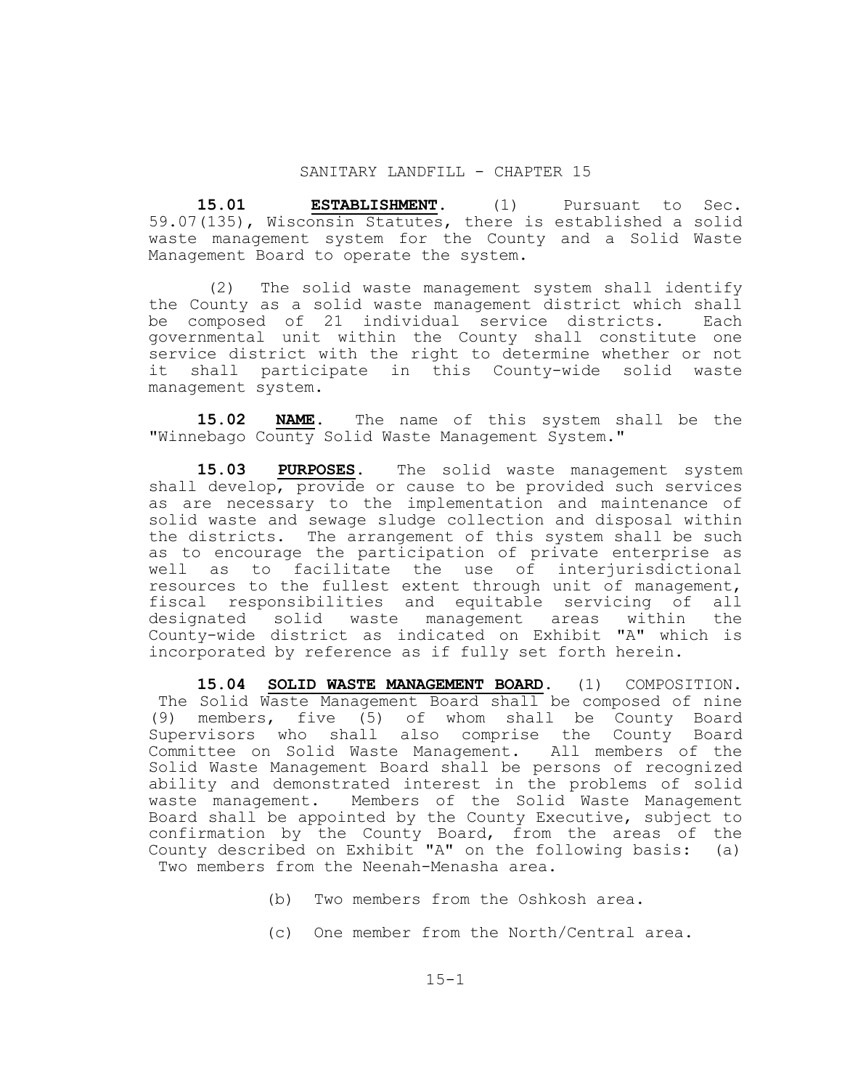#### SANITARY LANDFILL - CHAPTER 15

 **15.01 ESTABLISHMENT.** (1) Pursuant to Sec. 59.07(135), Wisconsin Statutes, there is established a solid waste management system for the County and a Solid Waste Management Board to operate the system.

 (2) The solid waste management system shall identify the County as a solid waste management district which shall be composed of 21 individual service districts. Each governmental unit within the County shall constitute one service district with the right to determine whether or not it shall participate in this County-wide solid waste management system.

 **15.02 NAME.** The name of this system shall be the "Winnebago County Solid Waste Management System."

 **15.03 PURPOSES.** The solid waste management system shall develop, provide or cause to be provided such services as are necessary to the implementation and maintenance of solid waste and sewage sludge collection and disposal within the districts. The arrangement of this system shall be such as to encourage the participation of private enterprise as well as to facilitate the use of interjurisdictional resources to the fullest extent through unit of management, fiscal responsibilities and equitable servicing of all designated solid waste management areas within the County-wide district as indicated on Exhibit "A" which is incorporated by reference as if fully set forth herein.

 **15.04 SOLID WASTE MANAGEMENT BOARD.** (1) COMPOSITION. The Solid Waste Management Board shall be composed of nine (9) members, five (5) of whom shall be County Board Supervisors who shall also comprise the County Board Committee on Solid Waste Management. All members of the Solid Waste Management Board shall be persons of recognized ability and demonstrated interest in the problems of solid waste management. Members of the Solid Waste Management Board shall be appointed by the County Executive, subject to confirmation by the County Board, from the areas of the County described on Exhibit "A" on the following basis: (a) Two members from the Neenah-Menasha area.

- (b) Two members from the Oshkosh area.
- (c) One member from the North/Central area.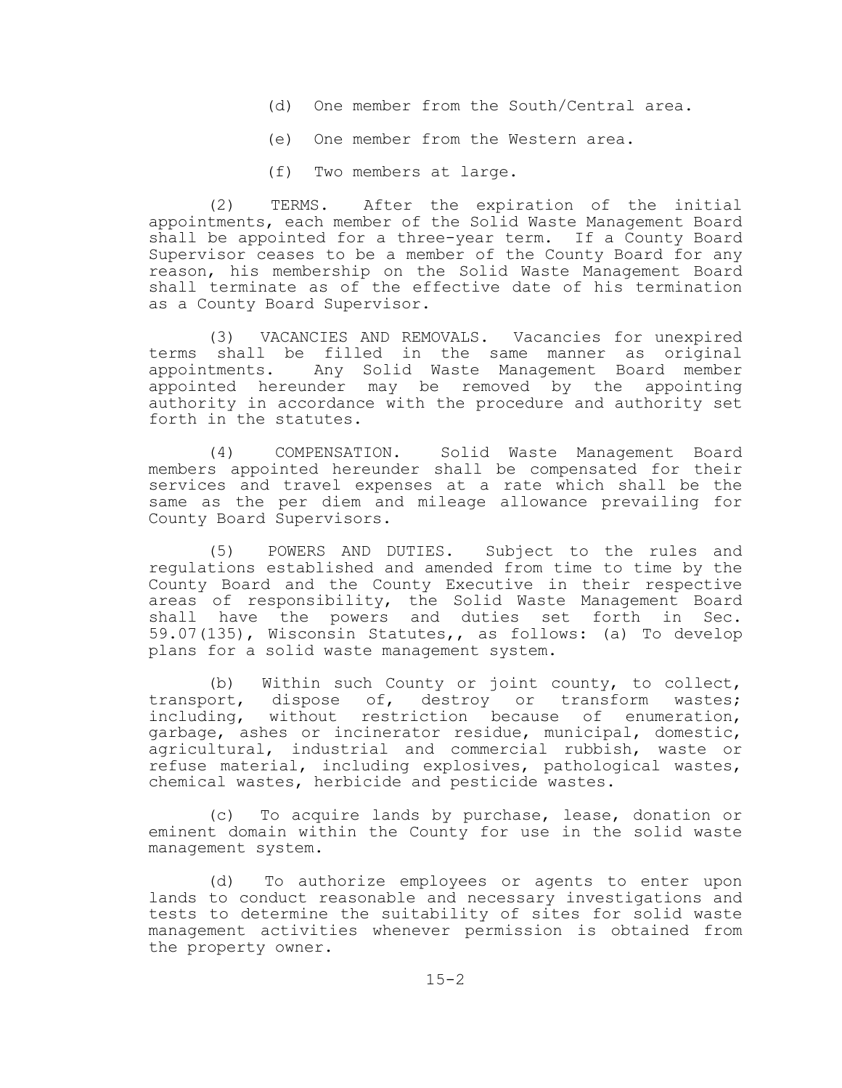- (d) One member from the South/Central area.
- (e) One member from the Western area.
- (f) Two members at large.

 (2) TERMS. After the expiration of the initial appointments, each member of the Solid Waste Management Board shall be appointed for a three-year term. If a County Board Supervisor ceases to be a member of the County Board for any reason, his membership on the Solid Waste Management Board shall terminate as of the effective date of his termination as a County Board Supervisor.

 (3) VACANCIES AND REMOVALS. Vacancies for unexpired terms shall be filled in the same manner as original appointments. Any Solid Waste Management Board member appointed hereunder may be removed by the appointing authority in accordance with the procedure and authority set forth in the statutes.

 (4) COMPENSATION. Solid Waste Management Board members appointed hereunder shall be compensated for their services and travel expenses at a rate which shall be the same as the per diem and mileage allowance prevailing for County Board Supervisors.

 (5) POWERS AND DUTIES. Subject to the rules and regulations established and amended from time to time by the County Board and the County Executive in their respective areas of responsibility, the Solid Waste Management Board shall have the powers and duties set forth in Sec. 59.07(135), Wisconsin Statutes,, as follows: (a) To develop plans for a solid waste management system.

 (b) Within such County or joint county, to collect, transport, dispose of, destroy or transform wastes; including, without restriction because of enumeration, garbage, ashes or incinerator residue, municipal, domestic, agricultural, industrial and commercial rubbish, waste or refuse material, including explosives, pathological wastes, chemical wastes, herbicide and pesticide wastes.

 (c) To acquire lands by purchase, lease, donation or eminent domain within the County for use in the solid waste management system.

 (d) To authorize employees or agents to enter upon lands to conduct reasonable and necessary investigations and tests to determine the suitability of sites for solid waste management activities whenever permission is obtained from the property owner.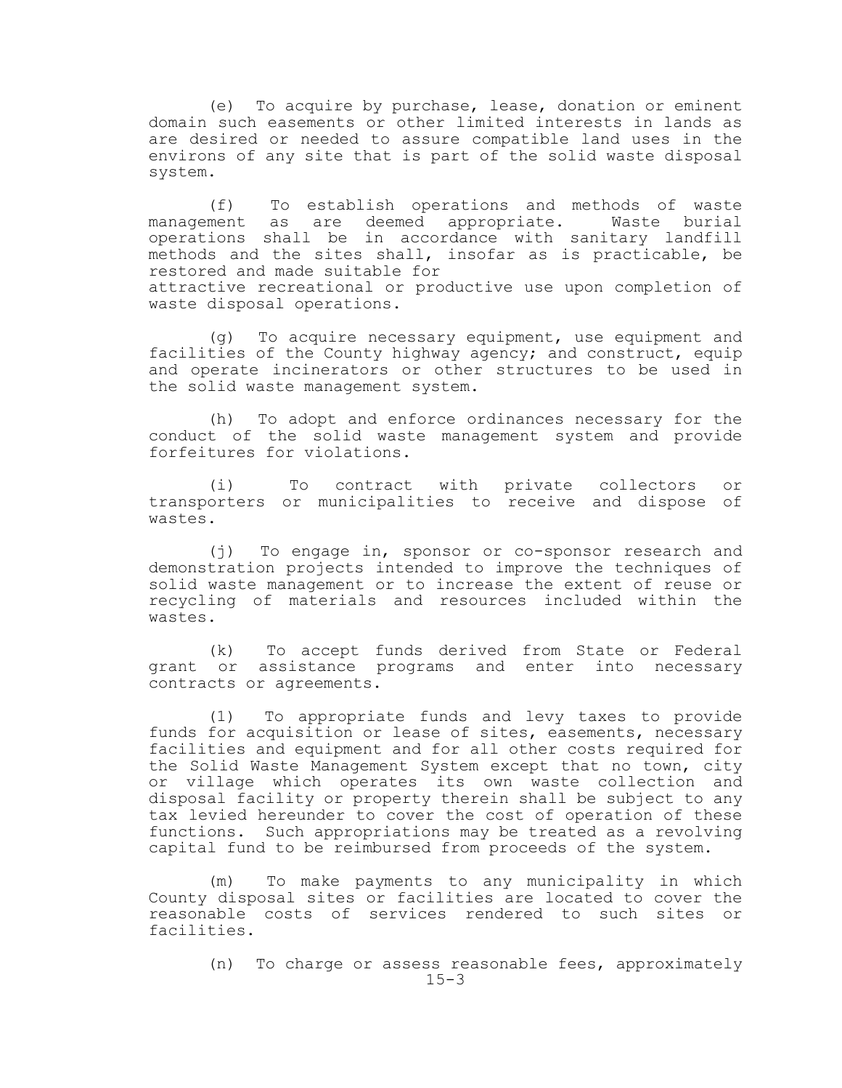(e) To acquire by purchase, lease, donation or eminent domain such easements or other limited interests in lands as are desired or needed to assure compatible land uses in the environs of any site that is part of the solid waste disposal system.

 (f) To establish operations and methods of waste management as are deemed appropriate. Waste burial operations shall be in accordance with sanitary landfill methods and the sites shall, insofar as is practicable, be restored and made suitable for attractive recreational or productive use upon completion of waste disposal operations.

 (g) To acquire necessary equipment, use equipment and facilities of the County highway agency; and construct, equip and operate incinerators or other structures to be used in the solid waste management system.

 (h) To adopt and enforce ordinances necessary for the conduct of the solid waste management system and provide forfeitures for violations.

 (i) To contract with private collectors or transporters or municipalities to receive and dispose of wastes.

 (j) To engage in, sponsor or co-sponsor research and demonstration projects intended to improve the techniques of solid waste management or to increase the extent of reuse or recycling of materials and resources included within the wastes.

 (k) To accept funds derived from State or Federal grant or assistance programs and enter into necessary contracts or agreements.

 (1) To appropriate funds and levy taxes to provide funds for acquisition or lease of sites, easements, necessary facilities and equipment and for all other costs required for the Solid Waste Management System except that no town, city or village which operates its own waste collection and disposal facility or property therein shall be subject to any tax levied hereunder to cover the cost of operation of these functions. Such appropriations may be treated as a revolving capital fund to be reimbursed from proceeds of the system.

 (m) To make payments to any municipality in which County disposal sites or facilities are located to cover the reasonable costs of services rendered to such sites or facilities.

> $15 - 3$ (n) To charge or assess reasonable fees, approximately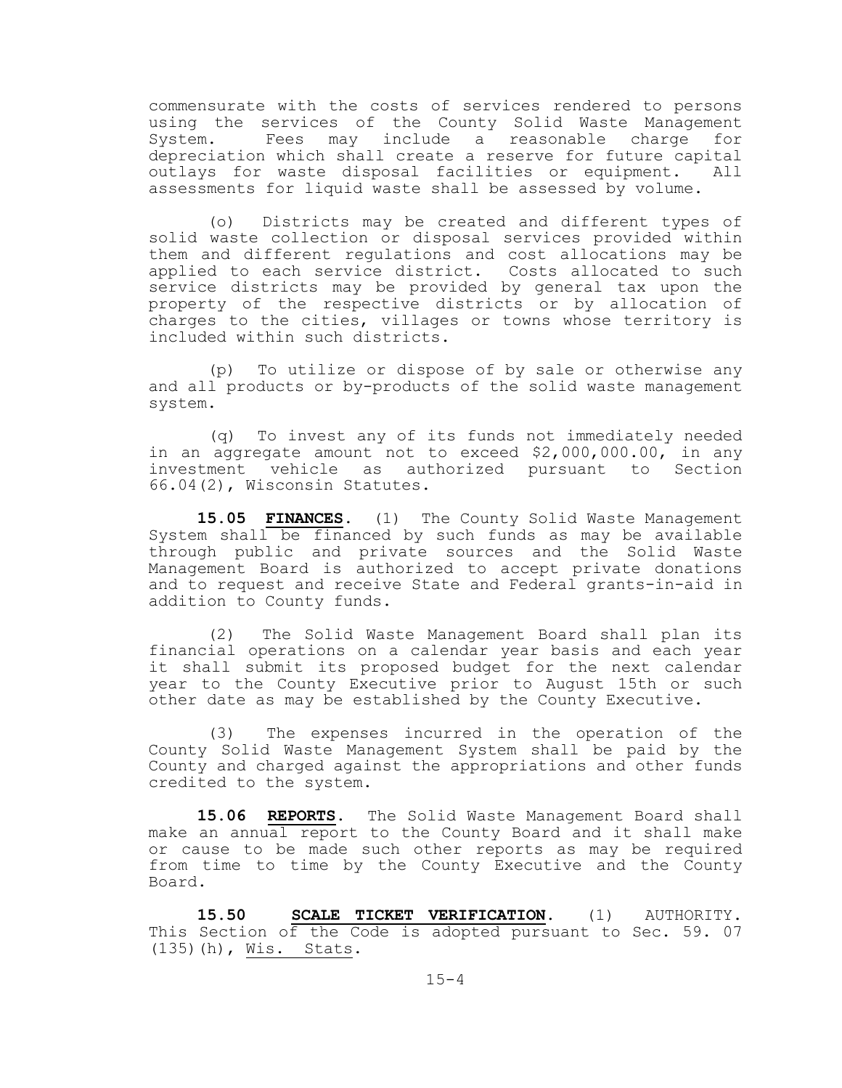commensurate with the costs of services rendered to persons using the services of the County Solid Waste Management System. Fees may include a reasonable charge for depreciation which shall create a reserve for future capital outlays for waste disposal facilities or equipment. All assessments for liquid waste shall be assessed by volume.

 (o) Districts may be created and different types of solid waste collection or disposal services provided within them and different regulations and cost allocations may be applied to each service district. Costs allocated to such service districts may be provided by general tax upon the property of the respective districts or by allocation of charges to the cities, villages or towns whose territory is included within such districts.

 (p) To utilize or dispose of by sale or otherwise any and all products or by-products of the solid waste management system.

(q) To invest any of its funds not immediately needed in an aggregate amount not to exceed \$2,000,000.00, in any investment vehicle as authorized pursuant to Section 66.04(2), Wisconsin Statutes.

 **15.05 FINANCES.** (1) The County Solid Waste Management System shall be financed by such funds as may be available through public and private sources and the Solid Waste Management Board is authorized to accept private donations and to request and receive State and Federal grants-in-aid in addition to County funds.

 (2) The Solid Waste Management Board shall plan its financial operations on a calendar year basis and each year it shall submit its proposed budget for the next calendar year to the County Executive prior to August 15th or such other date as may be established by the County Executive.

 (3) The expenses incurred in the operation of the County Solid Waste Management System shall be paid by the County and charged against the appropriations and other funds credited to the system.

15.06 REPORTS. The Solid Waste Management Board shall make an annual report to the County Board and it shall make or cause to be made such other reports as may be required from time to time by the County Executive and the County Board.

 **15.50 SCALE TICKET VERIFICATION.** (1) AUTHORITY. This Section of the Code is adopted pursuant to Sec. 59. 07 (135)(h), Wis. Stats.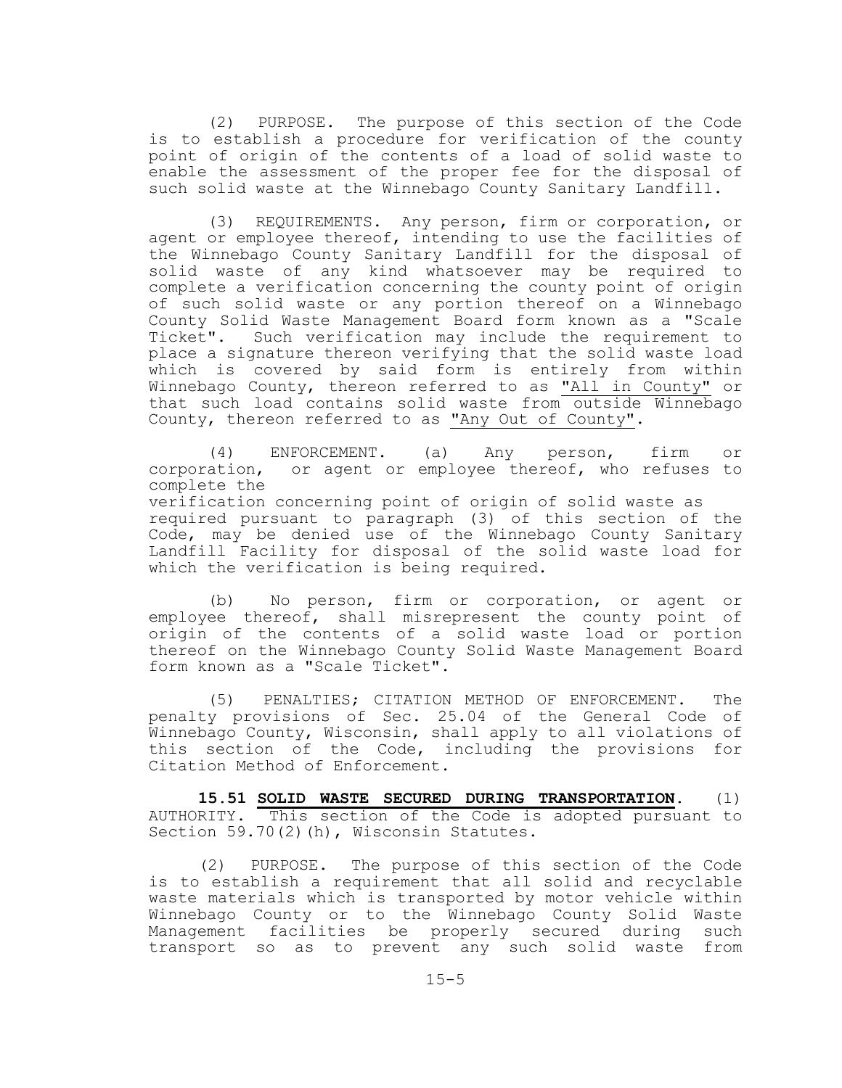(2) PURPOSE. The purpose of this section of the Code is to establish a procedure for verification of the county point of origin of the contents of a load of solid waste to enable the assessment of the proper fee for the disposal of such solid waste at the Winnebago County Sanitary Landfill.

 (3) REQUIREMENTS. Any person, firm or corporation, or agent or employee thereof, intending to use the facilities of the Winnebago County Sanitary Landfill for the disposal of solid waste of any kind whatsoever may be required to complete a verification concerning the county point of origin of such solid waste or any portion thereof on a Winnebago County Solid Waste Management Board form known as a "Scale Ticket". Such verification may include the requirement to place a signature thereon verifying that the solid waste load which is covered by said form is entirely from within Winnebago County, thereon referred to as "All in County" or that such load contains solid waste from outside Winnebago County, thereon referred to as "Any Out of County".

 (4) ENFORCEMENT. (a) Any person, firm or corporation, or agent or employee thereof, who refuses to complete the verification concerning point of origin of solid waste as required pursuant to paragraph (3) of this section of the Code, may be denied use of the Winnebago County Sanitary Landfill Facility for disposal of the solid waste load for which the verification is being required.

 (b) No person, firm or corporation, or agent or employee thereof, shall misrepresent the county point of origin of the contents of a solid waste load or portion thereof on the Winnebago County Solid Waste Management Board form known as a "Scale Ticket".

 (5) PENALTIES; CITATION METHOD OF ENFORCEMENT. The penalty provisions of Sec. 25.04 of the General Code of Winnebago County, Wisconsin, shall apply to all violations of this section of the Code, including the provisions for Citation Method of Enforcement.

**15.51 SOLID WASTE SECURED DURING TRANSPORTATION.** (1) AUTHORITY. This section of the Code is adopted pursuant to Section 59.70(2)(h), Wisconsin Statutes.

(2) PURPOSE. The purpose of this section of the Code is to establish a requirement that all solid and recyclable waste materials which is transported by motor vehicle within Winnebago County or to the Winnebago County Solid Waste Management facilities be properly secured during such transport so as to prevent any such solid waste from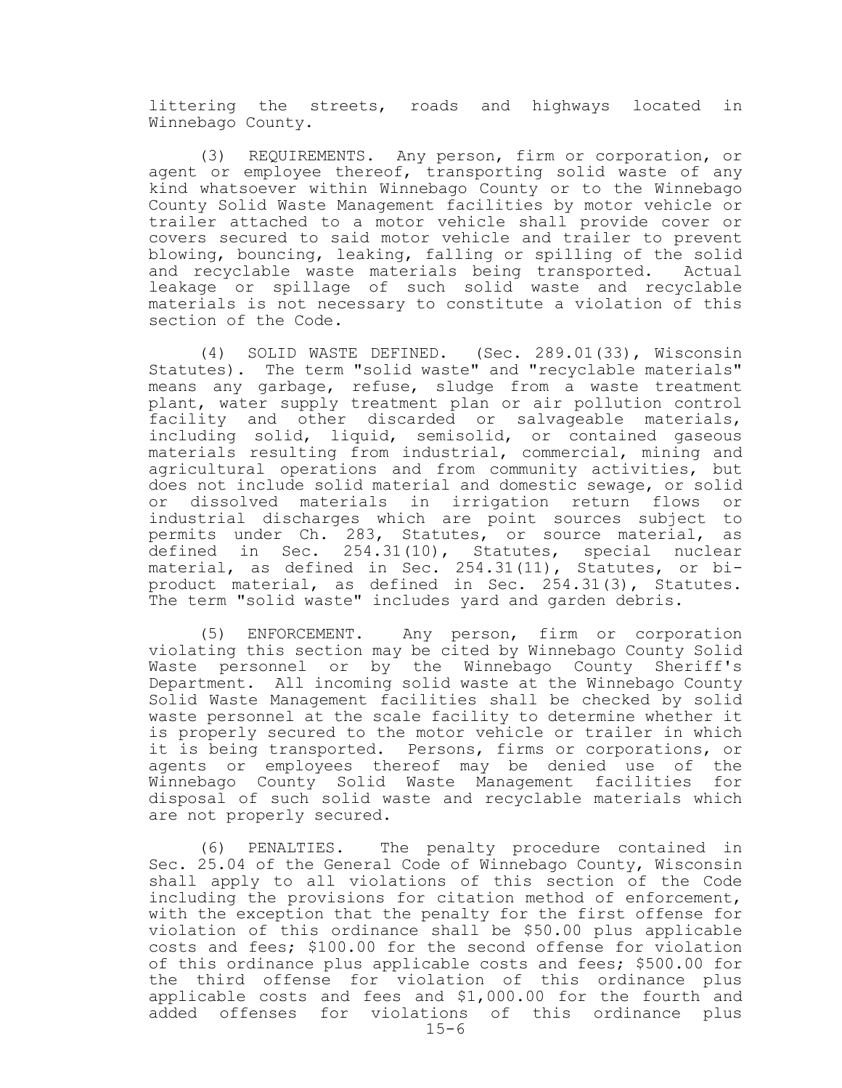littering the streets, roads and highways located in Winnebago County.

(3) REQUIREMENTS. Any person, firm or corporation, or agent or employee thereof, transporting solid waste of any kind whatsoever within Winnebago County or to the Winnebago County Solid Waste Management facilities by motor vehicle or trailer attached to a motor vehicle shall provide cover or covers secured to said motor vehicle and trailer to prevent blowing, bouncing, leaking, falling or spilling of the solid and recyclable waste materials being transported. Actual leakage or spillage of such solid waste and recyclable materials is not necessary to constitute a violation of this section of the Code.

(4) SOLID WASTE DEFINED. (Sec. 289.01(33), Wisconsin Statutes). The term "solid waste" and "recyclable materials" means any garbage, refuse, sludge from a waste treatment plant, water supply treatment plan or air pollution control facility and other discarded or salvageable materials, including solid, liquid, semisolid, or contained gaseous materials resulting from industrial, commercial, mining and agricultural operations and from community activities, but does not include solid material and domestic sewage, or solid or dissolved materials in irrigation return flows or industrial discharges which are point sources subject to permits under Ch. 283, Statutes, or source material, as defined in Sec. 254.31(10), Statutes, special nuclear material, as defined in Sec. 254.31(11), Statutes, or biproduct material, as defined in Sec. 254.31(3), Statutes. The term "solid waste" includes yard and garden debris.

(5) ENFORCEMENT. Any person, firm or corporation violating this section may be cited by Winnebago County Solid Waste personnel or by the Winnebago County Sheriff's Department. All incoming solid waste at the Winnebago County Solid Waste Management facilities shall be checked by solid waste personnel at the scale facility to determine whether it is properly secured to the motor vehicle or trailer in which it is being transported. Persons, firms or corporations, or agents or employees thereof may be denied use of the Winnebago County Solid Waste Management facilities for disposal of such solid waste and recyclable materials which are not properly secured.

(6) PENALTIES. The penalty procedure contained in Sec. 25.04 of the General Code of Winnebago County, Wisconsin shall apply to all violations of this section of the Code including the provisions for citation method of enforcement, with the exception that the penalty for the first offense for violation of this ordinance shall be \$50.00 plus applicable costs and fees; \$100.00 for the second offense for violation of this ordinance plus applicable costs and fees; \$500.00 for the third offense for violation of this ordinance plus applicable costs and fees and \$1,000.00 for the fourth and added offenses for violations of this ordinance plus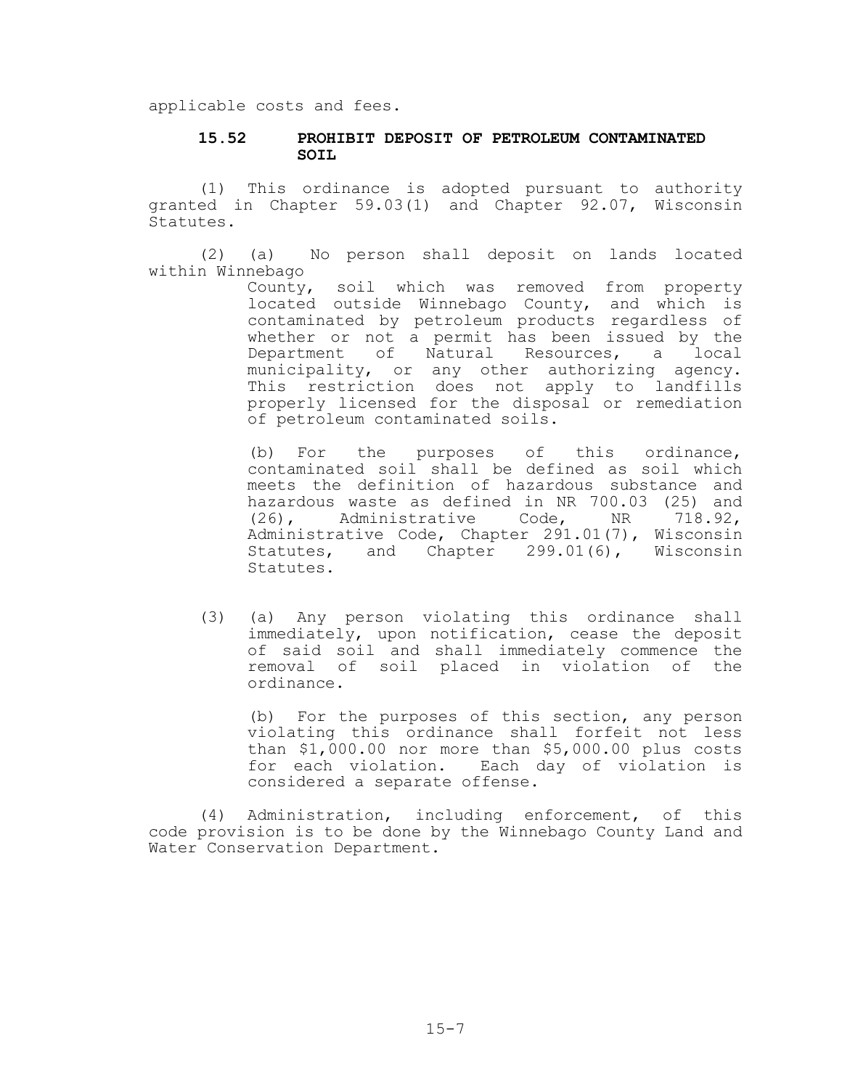applicable costs and fees.

### **15.52 PROHIBIT DEPOSIT OF PETROLEUM CONTAMINATED SOIL**

(1) This ordinance is adopted pursuant to authority granted in Chapter 59.03(1) and Chapter 92.07, Wisconsin Statutes.

(2) (a) No person shall deposit on lands located within Winnebago

> County, soil which was removed from property located outside Winnebago County, and which is contaminated by petroleum products regardless of whether or not a permit has been issued by the Department of Natural Resources, a local municipality, or any other authorizing agency. This restriction does not apply to landfills properly licensed for the disposal or remediation of petroleum contaminated soils.

> (b) For the purposes of this ordinance, contaminated soil shall be defined as soil which meets the definition of hazardous substance and hazardous waste as defined in NR 700.03 (25) and (26), Administrative Code, NR 718.92, Administrative Code, Chapter 291.01(7), Wisconsin Statutes, and Chapter 299.01(6), Wisconsin Statutes.

(3) (a) Any person violating this ordinance shall immediately, upon notification, cease the deposit of said soil and shall immediately commence the removal of soil placed in violation of the ordinance.

(b) For the purposes of this section, any person violating this ordinance shall forfeit not less than \$1,000.00 nor more than \$5,000.00 plus costs for each violation. Each day of violation is considered a separate offense.

(4) Administration, including enforcement, of this code provision is to be done by the Winnebago County Land and Water Conservation Department.